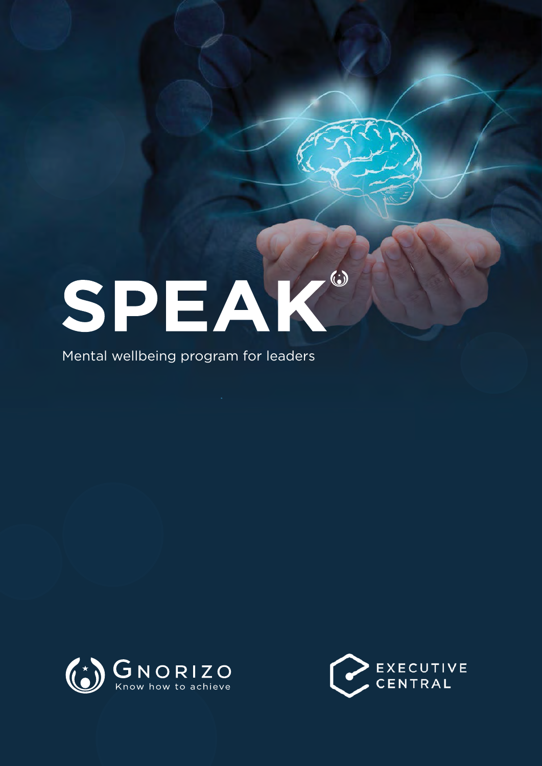# $\odot$ SPEAK

Mental wellbeing program for leaders



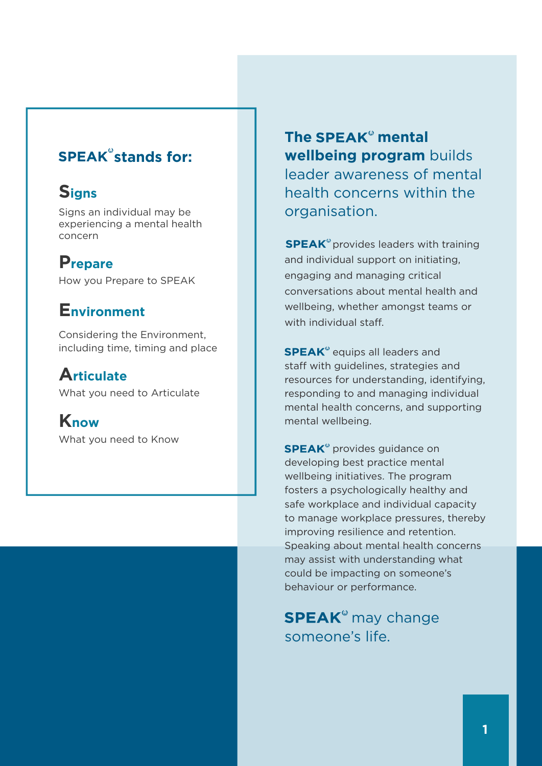### **SPEAK**<sup>°</sup> stands for:

### **Signs**

Signs an individual may be experiencing a mental health concern

### **Prepare**

How you Prepare to SPEAK

### **Environment**

Considering the Environment, including time, timing and place

### **Articulate**

What you need to Articulate

**Know** What you need to Know **The SPEAK<sup>®</sup> mental wellbeing program** builds leader awareness of mental health concerns within the organisation.

**SPEAK**<sup>®</sup> provides leaders with training and individual support on initiating, engaging and managing critical conversations about mental health and wellbeing, whether amongst teams or with individual staff.

SPEAK<sup>®</sup> equips all leaders and staff with guidelines, strategies and resources for understanding, identifying, responding to and managing individual mental health concerns, and supporting mental wellbeing.

SPEAK<sup>®</sup> provides guidance on developing best practice mental wellbeing initiatives. The program fosters a psychologically healthy and safe workplace and individual capacity to manage workplace pressures, thereby improving resilience and retention. Speaking about mental health concerns may assist with understanding what could be impacting on someone's behaviour or performance.

SPEAK<sup>®</sup> may change someone's life.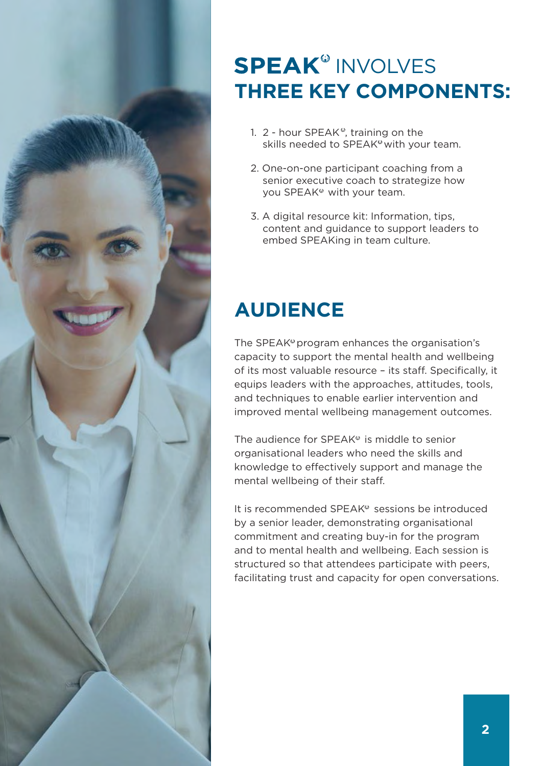

## **SPEAK<sup>®</sup> INVOLVES three key components:**

- 1.  $2$  hour SPEAK<sup>®</sup>, training on the skills needed to SPEAK<sup>®</sup> with your team.
- 2. One-on-one participant coaching from a senior executive coach to strategize how you SPEAK<sup>®</sup> with your team.
- 3. A digital resource kit: Information, tips, content and guidance to support leaders to embed SPEAKing in team culture.

### **AUDIENCE**

The SPEAK<sup>®</sup> program enhances the organisation's capacity to support the mental health and wellbeing of its most valuable resource – its staff. Specifically, it equips leaders with the approaches, attitudes, tools, and techniques to enable earlier intervention and improved mental wellbeing management outcomes.

The audience for  $SPEAK<sup>°</sup>$  is middle to senior organisational leaders who need the skills and knowledge to effectively support and manage the mental wellbeing of their staff.

It is recommended SPEAK<sup>®</sup> sessions be introduced by a senior leader, demonstrating organisational commitment and creating buy-in for the program and to mental health and wellbeing. Each session is structured so that attendees participate with peers, facilitating trust and capacity for open conversations.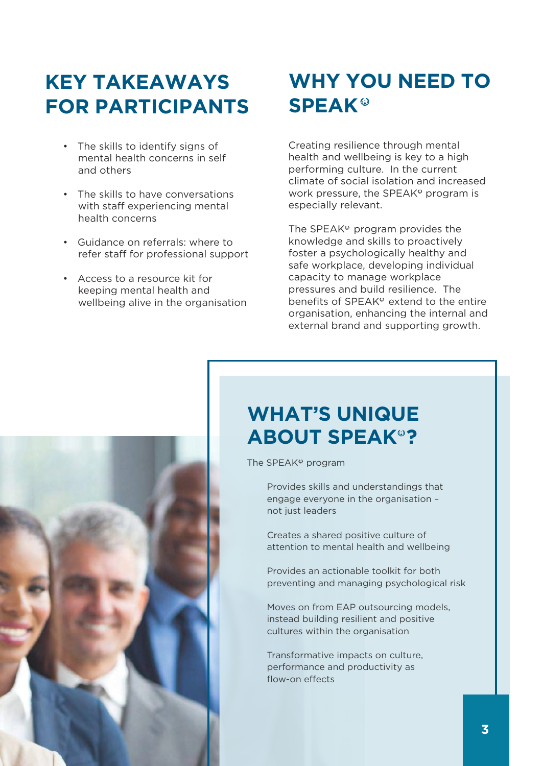### **KEY TAKEAWAYS FOR PARTICIPANTS**

- • The skills to identify signs of mental health concerns in self and others
- • The skills to have conversations with staff experiencing mental health concerns
- • Guidance on referrals: where to refer staff for professional support
- • Access to a resource kit for keeping mental health and wellbeing alive in the organisation

### **WHY YOU NEED TO SPEAK**

Creating resilience through mental health and wellbeing is key to a high performing culture. In the current climate of social isolation and increased work pressure, the SPEAK $\degree$  program is especially relevant.

The SPEAK $\degree$  program provides the knowledge and skills to proactively foster a psychologically healthy and safe workplace, developing individual capacity to manage workplace pressures and build resilience. The benefits of SPEAK<sup>®</sup> extend to the entire organisation, enhancing the internal and external brand and supporting growth.



### **WHAT'S UNIQUE ABOUT SPEAK<sup>®</sup>?**

The SPEAK<sup>®</sup> program

Provides skills and understandings that engage everyone in the organisation – not just leaders

Creates a shared positive culture of attention to mental health and wellbeing

Provides an actionable toolkit for both preventing and managing psychological risk

Moves on from EAP outsourcing models, instead building resilient and positive cultures within the organisation

Transformative impacts on culture, performance and productivity as flow-on effects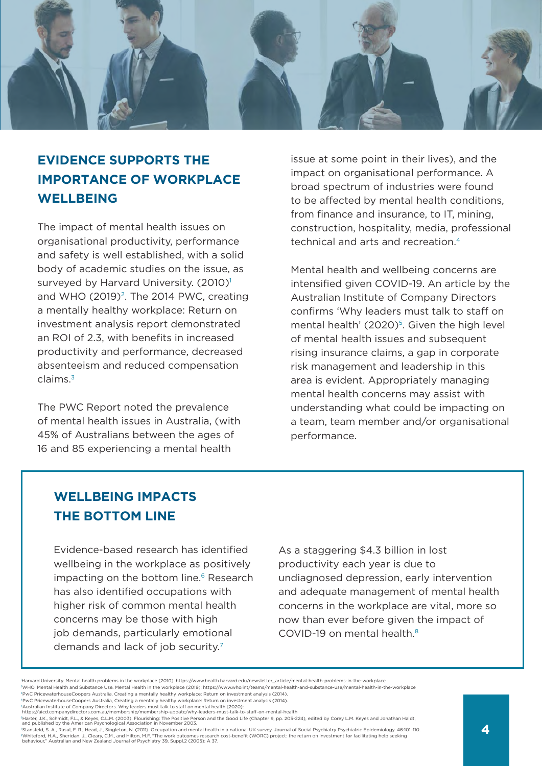

#### **EVIDENCE SUPPORTS THE IMPORTANCE OF WORKPLACE WELLBEING**

The impact of mental health issues on organisational productivity, performance and safety is well established, with a solid body of academic studies on the issue, as surveyed by Harvard University. (2010)<sup>1</sup> and WHO  $(2019)^2$ . The 2014 PWC, creating a mentally healthy workplace: Return on investment analysis report demonstrated an ROI of 2.3, with benefits in increased productivity and performance, decreased absenteeism and reduced compensation claims.3

The PWC Report noted the prevalence of mental health issues in Australia, (with 45% of Australians between the ages of 16 and 85 experiencing a mental health

issue at some point in their lives), and the impact on organisational performance. A broad spectrum of industries were found to be affected by mental health conditions, from finance and insurance, to IT, mining. construction, hospitality, media, professional technical and arts and recreation.<sup>4</sup>

Mental health and wellbeing concerns are intensified given COVID-19. An article by the Australian Institute of Company Directors confirms 'Why leaders must talk to staff on mental health' (2020)<sup>5</sup>. Given the high level of mental health issues and subsequent rising insurance claims, a gap in corporate risk management and leadership in this area is evident. Appropriately managing mental health concerns may assist with understanding what could be impacting on a team, team member and/or organisational performance.

#### **WELLBEING IMPACTS THE BOTTOM LINE**

Evidence-based research has identified wellbeing in the workplace as positively impacting on the bottom line.<sup>6</sup> Research has also identified occupations with higher risk of common mental health concerns may be those with high job demands, particularly emotional demands and lack of job security.<sup>7</sup>

As a staggering \$4.3 billion in lost productivity each year is due to undiagnosed depression, early intervention and adequate management of mental health concerns in the workplace are vital, more so now than ever before given the impact of COVID-19 on mental health.8

<sup>1</sup> Harvard University. Mental health problems in the workplace (2010): https://www.health.harvard.edu/newsletter\_article/mental-health-problems-in-the-workplace

<sup>2</sup>WHO. Mental Health and Substance Use. Mental Health in the workplace (2019): https://www.who.int/teams/mental-health-and-substance-use/mental-health-in-the-workplace <sup>3</sup>PwC PricewaterhouseCoopers Australia, Creating a mentally healthy workplace: Return on investment analysis (2014).

<sup>4</sup>PwC PricewaterhouseCoopers Australia, Creating a mentally healthy workplace: Return on investment analysis (2014).

<sup>5</sup>Australian Institute of Company Directors. Why leaders must talk to staff on mental health (2020): https://aicd.companydirectors.com.au/membership/membership-update/why-leaders-must-talk-to-staff-on-mental-health

<sup>«</sup>Harter, J.K., Schmidt, F.L., & Keyes, C.L.M. (2003). Flourishing: The Positive Person and the Good Life (Chapter 9, pp. 205-224), edited by Corey L.M. Keyes and Jonathan Haidt<br>and published by the American Psychological A

<sup>7</sup>Stansfeld, S. A., Rasul, F. R., Head, J., Singleton, N. (2011). Occupation and mental health in a national UK survey. Journal of Social Psychiatry Psychiatric Epidemiology. 46:101–110. ®Whiteford, H.A., Sheridan. J., Cleary, C.M., and Hilton, M.F. "The work outcomes research cost-benefit (WORC) project: the return on investment for facilitating help seeking<br>behaviour." Australian and New Zealand Journal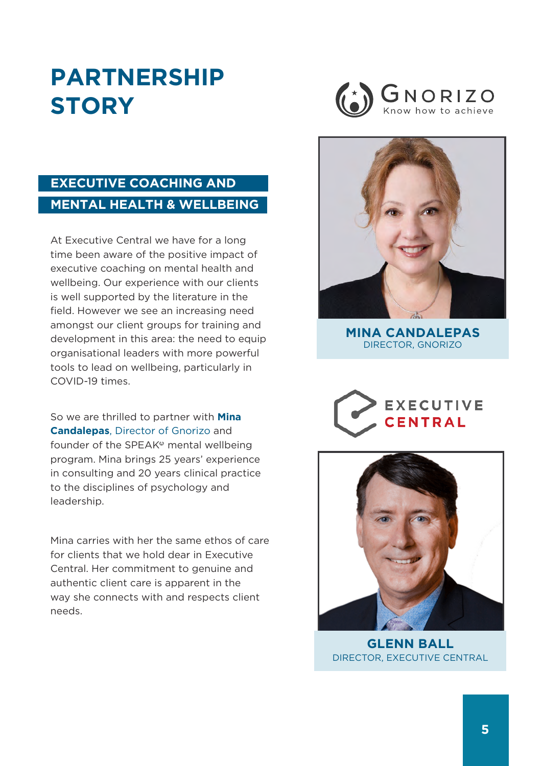# **Partnership story**



#### **EXECUTIVE COACHING AND MENTAL HEALTH & WELLBEING**

At Executive Central we have for a long time been aware of the positive impact of executive coaching on mental health and wellbeing. Our experience with our clients is well supported by the literature in the field. However we see an increasing need amongst our client groups for training and development in this area: the need to equip organisational leaders with more powerful tools to lead on wellbeing, particularly in COVID-19 times.

So we are thrilled to partner with **Mina Candalepas**, Director of Gnorizo and founder of the SPEAK<sup>®</sup> mental wellbeing program. Mina brings 25 years' experience in consulting and 20 years clinical practice to the disciplines of psychology and leadership.

Mina carries with her the same ethos of care for clients that we hold dear in Executive Central. Her commitment to genuine and authentic client care is apparent in the way she connects with and respects client needs.



**MINA CANDALEPAS** Director, GNORIZO





**Glenn Ball** [Director, Executive Central](https://executivecentral.com.au/about-us/our-team/sue-balmer/)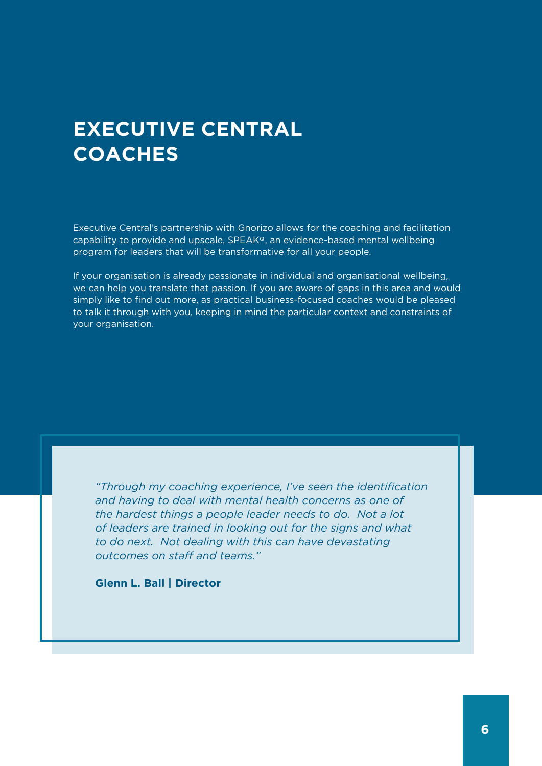### **EXECUTIVE CENTRAL COACHES**

Executive Central's partnership with Gnorizo allows for the coaching and facilitation capability to provide and upscale, SPEAK<sup>o</sup>, an evidence-based mental wellbeing program for leaders that will be transformative for all your people.

If your organisation is already passionate in individual and organisational wellbeing, we can help you translate that passion. If you are aware of gaps in this area and would simply like to find out more, as practical business-focused coaches would be pleased to talk it through with you, keeping in mind the particular context and constraints of your organisation.

*"Through my coaching experience, I've seen the identification and having to deal with mental health concerns as one of the hardest things a people leader needs to do. Not a lot of leaders are trained in looking out for the signs and what to do next. Not dealing with this can have devastating outcomes on staff and teams."*

**Glenn L. Ball | Director**